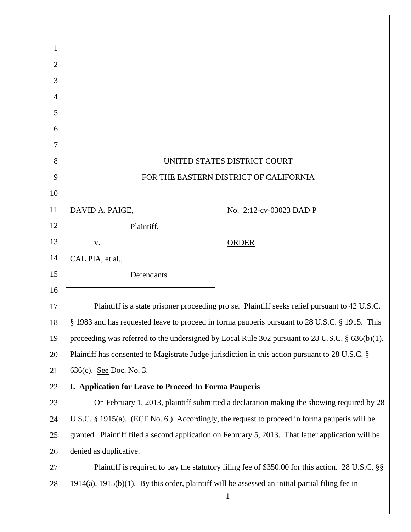|                                                                                                       | UNITED STATES DISTRICT COURT                                                                       |
|-------------------------------------------------------------------------------------------------------|----------------------------------------------------------------------------------------------------|
|                                                                                                       | FOR THE EASTERN DISTRICT OF CALIFORNIA                                                             |
|                                                                                                       |                                                                                                    |
| DAVID A. PAIGE,                                                                                       | No. 2:12-cv-03023 DAD P                                                                            |
| Plaintiff,                                                                                            |                                                                                                    |
| V.                                                                                                    | <b>ORDER</b>                                                                                       |
| CAL PIA, et al.,                                                                                      |                                                                                                    |
| Defendants.                                                                                           |                                                                                                    |
|                                                                                                       |                                                                                                    |
|                                                                                                       | Plaintiff is a state prisoner proceeding pro se. Plaintiff seeks relief pursuant to 42 U.S.C.      |
|                                                                                                       | § 1983 and has requested leave to proceed in forma pauperis pursuant to 28 U.S.C. § 1915. This     |
|                                                                                                       | proceeding was referred to the undersigned by Local Rule 302 pursuant to 28 U.S.C. $\S$ 636(b)(1). |
|                                                                                                       | Plaintiff has consented to Magistrate Judge jurisdiction in this action pursuant to 28 U.S.C. §    |
| 636(c). <u>See</u> Doc. No. 3.                                                                        |                                                                                                    |
| I. Application for Leave to Proceed In Forma Pauperis                                                 |                                                                                                    |
|                                                                                                       | On February 1, 2013, plaintiff submitted a declaration making the showing required by 28           |
|                                                                                                       | U.S.C. $\S$ 1915(a). (ECF No. 6.) Accordingly, the request to proceed in forma pauperis will be    |
|                                                                                                       | granted. Plaintiff filed a second application on February 5, 2013. That latter application will be |
| denied as duplicative.                                                                                |                                                                                                    |
|                                                                                                       | Plaintiff is required to pay the statutory filing fee of \$350.00 for this action. 28 U.S.C. §§    |
| $1914(a)$ , $1915(b)(1)$ . By this order, plaintiff will be assessed an initial partial filing fee in |                                                                                                    |
|                                                                                                       | $\mathbf{1}$                                                                                       |
|                                                                                                       |                                                                                                    |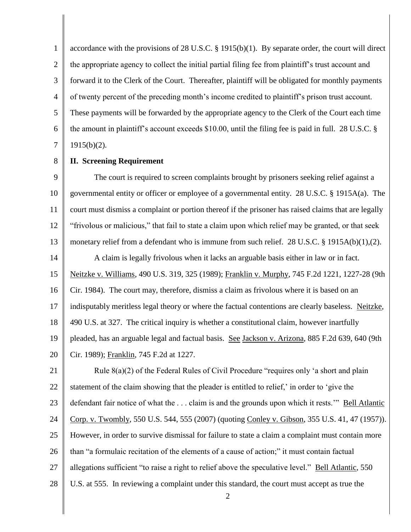1 2 3 4 5 6 7 accordance with the provisions of 28 U.S.C. § 1915(b)(1). By separate order, the court will direct the appropriate agency to collect the initial partial filing fee from plaintiff's trust account and forward it to the Clerk of the Court. Thereafter, plaintiff will be obligated for monthly payments of twenty percent of the preceding month's income credited to plaintiff's prison trust account. These payments will be forwarded by the appropriate agency to the Clerk of the Court each time the amount in plaintiff's account exceeds \$10.00, until the filing fee is paid in full. 28 U.S.C. §  $1915(b)(2)$ .

8 **II. Screening Requirement**

9 10 11 12 13 14 15 16 17 18 19 20 The court is required to screen complaints brought by prisoners seeking relief against a governmental entity or officer or employee of a governmental entity. 28 U.S.C. § 1915A(a). The court must dismiss a complaint or portion thereof if the prisoner has raised claims that are legally "frivolous or malicious," that fail to state a claim upon which relief may be granted, or that seek monetary relief from a defendant who is immune from such relief. 28 U.S.C. § 1915A(b)(1),(2). A claim is legally frivolous when it lacks an arguable basis either in law or in fact. Neitzke v. Williams, 490 U.S. 319, 325 (1989); Franklin v. Murphy, 745 F.2d 1221, 1227-28 (9th Cir. 1984). The court may, therefore, dismiss a claim as frivolous where it is based on an indisputably meritless legal theory or where the factual contentions are clearly baseless. Neitzke, 490 U.S. at 327. The critical inquiry is whether a constitutional claim, however inartfully pleaded, has an arguable legal and factual basis. See Jackson v. Arizona, 885 F.2d 639, 640 (9th Cir. 1989); Franklin, 745 F.2d at 1227.

21 22 23 24 25 26 27 28 Rule 8(a)(2) of the Federal Rules of Civil Procedure "requires only 'a short and plain statement of the claim showing that the pleader is entitled to relief,' in order to 'give the defendant fair notice of what the . . . claim is and the grounds upon which it rests.'" Bell Atlantic Corp. v. Twombly, 550 U.S. 544, 555 (2007) (quoting Conley v. Gibson, 355 U.S. 41, 47 (1957)). However, in order to survive dismissal for failure to state a claim a complaint must contain more than "a formulaic recitation of the elements of a cause of action;" it must contain factual allegations sufficient "to raise a right to relief above the speculative level." Bell Atlantic, 550 U.S. at 555. In reviewing a complaint under this standard, the court must accept as true the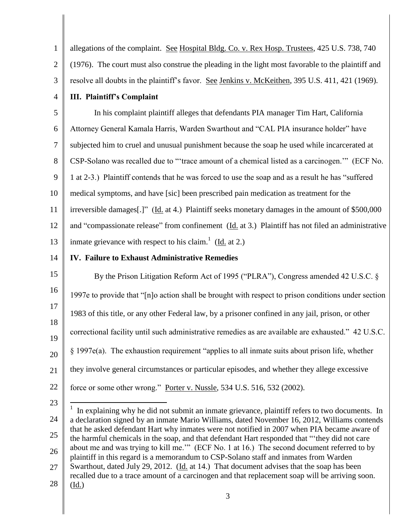1 2 3 allegations of the complaint. See Hospital Bldg. Co. v. Rex Hosp. Trustees, 425 U.S. 738, 740 (1976). The court must also construe the pleading in the light most favorable to the plaintiff and resolve all doubts in the plaintiff's favor. See Jenkins v. McKeithen, 395 U.S. 411, 421 (1969).

4

**III. Plaintiff's Complaint**

5 6 7 8 9 10 11 12 13 In his complaint plaintiff alleges that defendants PIA manager Tim Hart, California Attorney General Kamala Harris, Warden Swarthout and "CAL PIA insurance holder" have subjected him to cruel and unusual punishment because the soap he used while incarcerated at CSP-Solano was recalled due to "'trace amount of a chemical listed as a carcinogen.'" (ECF No. 1 at 2-3.) Plaintiff contends that he was forced to use the soap and as a result he has "suffered medical symptoms, and have [sic] been prescribed pain medication as treatment for the irreversible damages[.]" (Id. at 4.) Plaintiff seeks monetary damages in the amount of \$500,000 and "compassionate release" from confinement (Id. at 3.) Plaintiff has not filed an administrative inmate grievance with respect to his claim.<sup>1</sup> ( $\underline{Id}$  at 2.)

14

## **IV. Failure to Exhaust Administrative Remedies**

15 16 17 18 19 20 21 By the Prison Litigation Reform Act of 1995 ("PLRA"), Congress amended 42 U.S.C. § 1997e to provide that "[n]o action shall be brought with respect to prison conditions under section 1983 of this title, or any other Federal law, by a prisoner confined in any jail, prison, or other correctional facility until such administrative remedies as are available are exhausted." 42 U.S.C. § 1997e(a). The exhaustion requirement "applies to all inmate suits about prison life, whether they involve general circumstances or particular episodes, and whether they allege excessive force or some other wrong." Porter v. Nussle, 534 U.S. 516, 532 (2002).

- 22
- 23

 $\overline{a}$ 

28

(Id.)

<sup>24</sup> 25 26 27  $<sup>1</sup>$  In explaining why he did not submit an inmate grievance, plaintiff refers to two documents. In</sup> a declaration signed by an inmate Mario Williams, dated November 16, 2012, Williams contends that he asked defendant Hart why inmates were not notified in 2007 when PIA became aware of the harmful chemicals in the soap, and that defendant Hart responded that "'they did not care about me and was trying to kill me.'" (ECF No. 1 at 16.) The second document referred to by plaintiff in this regard is a memorandum to CSP-Solano staff and inmates from Warden Swarthout, dated July 29, 2012. (Id. at 14.) That document advises that the soap has been recalled due to a trace amount of a carcinogen and that replacement soap will be arriving soon.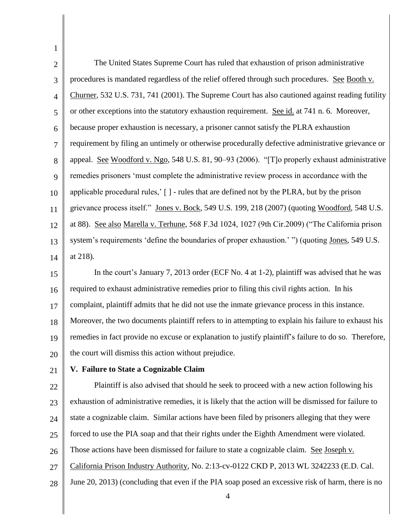| 1              |                                                                                                       |
|----------------|-------------------------------------------------------------------------------------------------------|
| $\overline{2}$ | The United States Supreme Court has ruled that exhaustion of prison administrative                    |
| 3              | procedures is mandated regardless of the relief offered through such procedures. See Booth v.         |
| $\overline{4}$ | Churner, 532 U.S. 731, 741 (2001). The Supreme Court has also cautioned against reading futility      |
| 5              | or other exceptions into the statutory exhaustion requirement. See id. at 741 n. 6. Moreover,         |
| 6              | because proper exhaustion is necessary, a prisoner cannot satisfy the PLRA exhaustion                 |
| 7              | requirement by filing an untimely or otherwise procedurally defective administrative grievance or     |
| 8              | appeal. See Woodford v. Ngo, 548 U.S. 81, 90-93 (2006). "[T]o properly exhaust administrative         |
| 9              | remedies prisoners 'must complete the administrative review process in accordance with the            |
| 10             | applicable procedural rules,' [] - rules that are defined not by the PLRA, but by the prison          |
| 11             | grievance process itself." Jones v. Bock, 549 U.S. 199, 218 (2007) (quoting Woodford, 548 U.S.        |
| 12             | at 88). See also Marella v. Terhune, 568 F.3d 1024, 1027 (9th Cir.2009) ("The California prison       |
| 13             | system's requirements 'define the boundaries of proper exhaustion.'") (quoting Jones, 549 U.S.        |
| 14             | at 218).                                                                                              |
| 15             | In the court's January 7, 2013 order (ECF No. 4 at 1-2), plaintiff was advised that he was            |
| 16             | required to exhaust administrative remedies prior to filing this civil rights action. In his          |
| 17             | complaint, plaintiff admits that he did not use the inmate grievance process in this instance.        |
| 18             | Moreover, the two documents plaintiff refers to in attempting to explain his failure to exhaust his   |
| 19             | remedies in fact provide no excuse or explanation to justify plaintiff's failure to do so. Therefore, |
| 20             | the court will dismiss this action without prejudice.                                                 |
| 21             | V. Failure to State a Cognizable Claim                                                                |
| 22             | Plaintiff is also advised that should he seek to proceed with a new action following his              |
| 23             | exhaustion of administrative remedies, it is likely that the action will be dismissed for failure to  |
| 24             | state a cognizable claim. Similar actions have been filed by prisoners alleging that they were        |
| 25             | forced to use the PIA soap and that their rights under the Eighth Amendment were violated.            |
| 26             | Those actions have been dismissed for failure to state a cognizable claim. See Joseph v.              |
| 27             | California Prison Industry Authority, No. 2:13-cv-0122 CKD P, 2013 WL 3242233 (E.D. Cal.              |
| 28             | June 20, 2013) (concluding that even if the PIA soap posed an excessive risk of harm, there is no     |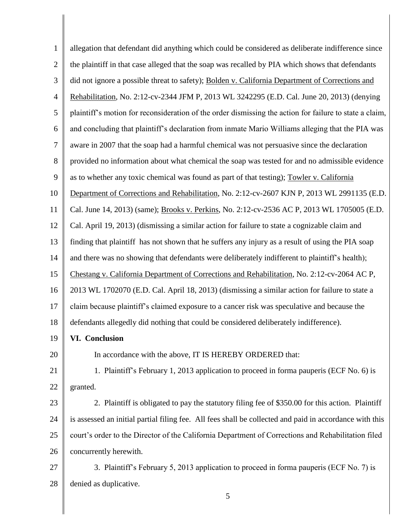| $\mathbf{1}$   | allegation that defendant did anything which could be considered as deliberate indifference since       |
|----------------|---------------------------------------------------------------------------------------------------------|
| $\mathfrak{2}$ | the plaintiff in that case alleged that the soap was recalled by PIA which shows that defendants        |
| 3              | did not ignore a possible threat to safety); Bolden v. California Department of Corrections and         |
| $\overline{4}$ | Rehabilitation, No. 2:12-cv-2344 JFM P, 2013 WL 3242295 (E.D. Cal. June 20, 2013) (denying              |
| 5              | plaintiff's motion for reconsideration of the order dismissing the action for failure to state a claim, |
| 6              | and concluding that plaintiff's declaration from inmate Mario Williams alleging that the PIA was        |
| $\overline{7}$ | aware in 2007 that the soap had a harmful chemical was not persuasive since the declaration             |
| 8              | provided no information about what chemical the soap was tested for and no admissible evidence          |
| 9              | as to whether any toxic chemical was found as part of that testing); Towler v. California               |
| 10             | Department of Corrections and Rehabilitation, No. 2:12-cv-2607 KJN P, 2013 WL 2991135 (E.D.             |
| 11             | Cal. June 14, 2013) (same); Brooks v. Perkins, No. 2:12-cv-2536 AC P, 2013 WL 1705005 (E.D.             |
| 12             | Cal. April 19, 2013) (dismissing a similar action for failure to state a cognizable claim and           |
| 13             | finding that plaintiff has not shown that he suffers any injury as a result of using the PIA soap       |
| 14             | and there was no showing that defendants were deliberately indifferent to plaintiff's health);          |
| 15             | Chestang v. California Department of Corrections and Rehabilitation, No. 2:12-cv-2064 AC P,             |
| 16             | 2013 WL 1702070 (E.D. Cal. April 18, 2013) (dismissing a similar action for failure to state a          |
| 17             | claim because plaintiff's claimed exposure to a cancer risk was speculative and because the             |
| 18             | defendants allegedly did nothing that could be considered deliberately indifference).                   |
| 19             | <b>VI. Conclusion</b>                                                                                   |
| 20             | In accordance with the above, IT IS HEREBY ORDERED that:                                                |
| 21             | 1. Plaintiff's February 1, 2013 application to proceed in forma pauperis (ECF No. 6) is                 |
| 22             | granted.                                                                                                |
| 23             | 2. Plaintiff is obligated to pay the statutory filing fee of \$350.00 for this action. Plaintiff        |
| 24             | is assessed an initial partial filing fee. All fees shall be collected and paid in accordance with this |
| 25             | court's order to the Director of the California Department of Corrections and Rehabilitation filed      |
| 26             | concurrently herewith.                                                                                  |
| 27             | 3. Plaintiff's February 5, 2013 application to proceed in forma pauperis (ECF No. 7) is                 |
| 28             | denied as duplicative.                                                                                  |
|                | 5                                                                                                       |